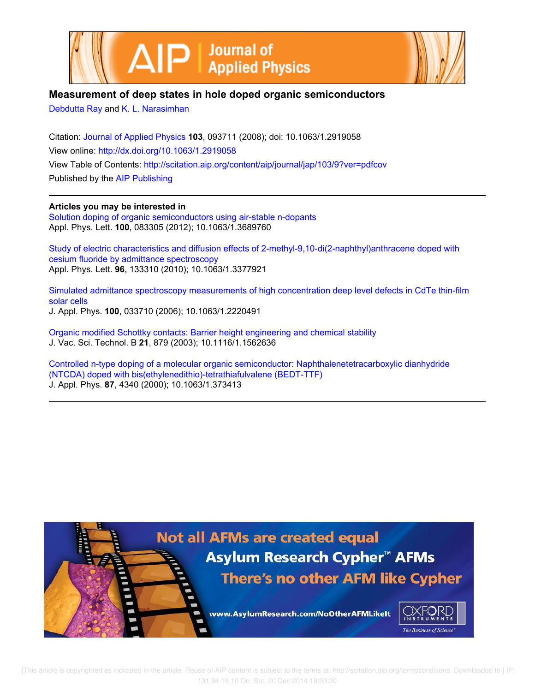



# **Measurement of deep states in hole doped organic semiconductors**

Debdutta Ray and K. L. Narasimhan

Citation: Journal of Applied Physics **103**, 093711 (2008); doi: 10.1063/1.2919058 View online: http://dx.doi.org/10.1063/1.2919058 View Table of Contents: http://scitation.aip.org/content/aip/journal/jap/103/9?ver=pdfcov Published by the AIP Publishing

**Articles you may be interested in**

Solution doping of organic semiconductors using air-stable n-dopants Appl. Phys. Lett. **100**, 083305 (2012); 10.1063/1.3689760

Study of electric characteristics and diffusion effects of 2-methyl-9,10-di(2-naphthyl)anthracene doped with cesium fluoride by admittance spectroscopy Appl. Phys. Lett. **96**, 133310 (2010); 10.1063/1.3377921

Simulated admittance spectroscopy measurements of high concentration deep level defects in CdTe thin-film solar cells J. Appl. Phys. **100**, 033710 (2006); 10.1063/1.2220491

Organic modified Schottky contacts: Barrier height engineering and chemical stability J. Vac. Sci. Technol. B **21**, 879 (2003); 10.1116/1.1562636

Controlled n-type doping of a molecular organic semiconductor: Naphthalenetetracarboxylic dianhydride (NTCDA) doped with bis(ethylenedithio)-tetrathiafulvalene (BEDT-TTF) J. Appl. Phys. **87**, 4340 (2000); 10.1063/1.373413



 [This article is copyrighted as indicated in the article. Reuse of AIP content is subject to the terms at: http://scitation.aip.org/termsconditions. Downloaded to ] IP: 131.94.16.10 On: Sat, 20 Dec 2014 19:03:20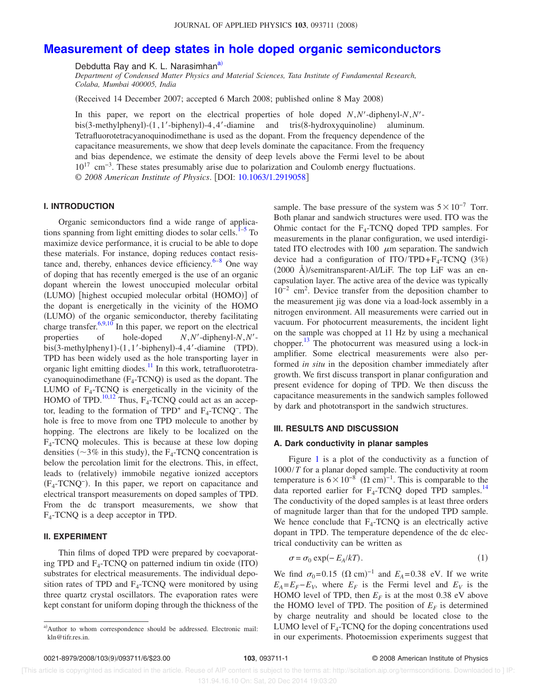# **Measurement of deep states in hole doped organic semiconductors**

Debdutta Ray and K. L. Narasimhan<sup>a)</sup>

*Department of Condensed Matter Physics and Material Sciences, Tata Institute of Fundamental Research, Colaba, Mumbai 400005, India*

Received 14 December 2007; accepted 6 March 2008; published online 8 May 2008-

In this paper, we report on the electrical properties of hole doped *N*,*N*-diphenyl-*N*,*N* bis(3-methylphenyl)-(1,1'-biphenyl)-4,4'-diamine and tris(8-hydroxyquinoline) aluminum. Tetrafluorotetracyanoquinodimethane is used as the dopant. From the frequency dependence of the capacitance measurements, we show that deep levels dominate the capacitance. From the frequency and bias dependence, we estimate the density of deep levels above the Fermi level to be about 10<sup>17</sup> cm−3. These states presumably arise due to polarization and Coulomb energy fluctuations. © *2008 American Institute of Physics*. DOI: 10.1063/1.2919058

## **I. INTRODUCTION**

Organic semiconductors find a wide range of applications spanning from light emitting diodes to solar cells.<sup>1–5</sup> To maximize device performance, it is crucial to be able to dope these materials. For instance, doping reduces contact resistance and, thereby, enhances device efficiency. $6-8$  One way of doping that has recently emerged is the use of an organic dopant wherein the lowest unoccupied molecular orbital (LUMO) [highest occupied molecular orbital (HOMO)] of the dopant is energetically in the vicinity of the HOMO (LUMO) of the organic semiconductor, thereby facilitating charge transfer.<sup>6,9,10</sup> In this paper, we report on the electrical properties of hole-doped *N*,*N*-diphenyl-*N*,*N*-  $\overline{bis(3-methylphenyl)}$ - $(1, 1'$ -biphenyl)-4,4'-diamine (TPD). TPD has been widely used as the hole transporting layer in organic light emitting diodes.<sup>11</sup> In this work, tetrafluorotetracyanoquinodimethane  $(F_4$ -TCNQ) is used as the dopant. The LUMO of  $F_4$ -TCNQ is energetically in the vicinity of the HOMO of TPD.<sup>10,12</sup> Thus,  $F_4$ -TCNQ could act as an acceptor, leading to the formation of  $TPD^+$  and  $F_4$ -TCNQ<sup>-</sup>. The hole is free to move from one TPD molecule to another by hopping. The electrons are likely to be localized on the F4 -TCNQ molecules. This is because at these low doping densities ( $\sim$ 3% in this study), the F<sub>4</sub>-TCNQ concentration is below the percolation limit for the electrons. This, in effect, leads to (relatively) immobile negative ionized acceptors F<sup>4</sup> -TCNQ<sup>−</sup> -. In this paper, we report on capacitance and electrical transport measurements on doped samples of TPD. From the dc transport measurements, we show that F4 -TCNQ is a deep acceptor in TPD.

## **II. EXPERIMENT**

Thin films of doped TPD were prepared by coevaporating TPD and  $F_4$ -TCNQ on patterned indium tin oxide (ITO) substrates for electrical measurements. The individual deposition rates of TPD and  $F_4$ -TCNQ were monitored by using three quartz crystal oscillators. The evaporation rates were kept constant for uniform doping through the thickness of the sample. The base pressure of the system was  $5\times10^{-7}$  Torr. Both planar and sandwich structures were used. ITO was the Ohmic contact for the  $F_4$ -TCNQ doped TPD samples. For measurements in the planar configuration, we used interdigitated ITO electrodes with 100  $\mu$ m separation. The sandwich device had a configuration of  $ITO/TPD + F_4 - TCNQ$  (3%)  $(2000 \text{ A})$ /semitransparent-Al/LiF. The top LiF was an encapsulation layer. The active area of the device was typically 10−2 cm<sup>2</sup> . Device transfer from the deposition chamber to the measurement jig was done via a load-lock assembly in a nitrogen environment. All measurements were carried out in vacuum. For photocurrent measurements, the incident light on the sample was chopped at 11 Hz by using a mechanical chopper.<sup>13</sup> The photocurrent was measured using a lock-in amplifier. Some electrical measurements were also performed *in situ* in the deposition chamber immediately after growth. We first discuss transport in planar configuration and present evidence for doping of TPD. We then discuss the capacitance measurements in the sandwich samples followed by dark and phototransport in the sandwich structures.

### **III. RESULTS AND DISCUSSION**

#### **A. Dark conductivity in planar samples**

Figure 1 is a plot of the conductivity as a function of 1000/*T* for a planar doped sample. The conductivity at room temperature is  $6 \times 10^{-8}$   $(\Omega \text{ cm})^{-1}$ . This is comparable to the data reported earlier for  $F_4$ -TCNQ doped TPD samples.<sup>14</sup> The conductivity of the doped samples is at least three orders of magnitude larger than that for the undoped TPD sample. We hence conclude that  $F_4$ -TCNQ is an electrically active dopant in TPD. The temperature dependence of the dc electrical conductivity can be written as

$$
\sigma = \sigma_0 \exp(-E_A/kT). \tag{1}
$$

We find  $\sigma_0 = 0.15$   $(\Omega \text{ cm})^{-1}$  and  $E_A = 0.38$  eV. If we write  $E_A = E_F - E_V$ , where  $E_F$  is the Fermi level and  $E_V$  is the HOMO level of TPD, then  $E_F$  is at the most 0.38 eV above the HOMO level of TPD. The position of  $E_F$  is determined by charge neutrality and should be located close to the LUMO level of  $F_4$ -TCNQ for the doping concentrations used in our experiments. Photoemission experiments suggest that

a)Author to whom correspondence should be addressed. Electronic mail: kln@tifr.res.in.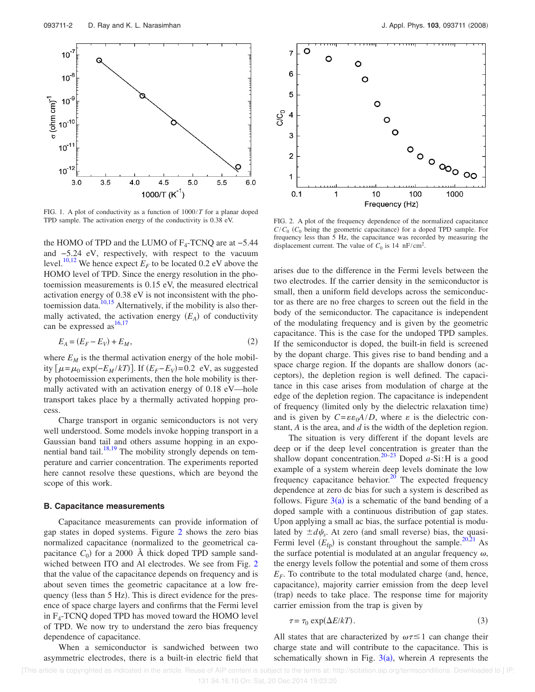

FIG. 1. A plot of conductivity as a function of 1000/*T* for a planar doped TPD sample. The activation energy of the conductivity is 0.38 eV. FIG. 2. A plot of the frequency dependence of the normalized capacitance

the HOMO of TPD and the LUMO of  $F_4$ -TCNQ are at  $-5.44$ and −5.24 eV, respectively, with respect to the vacuum level.<sup>10,12</sup> We hence expect  $E_F$  to be located 0.2 eV above the HOMO level of TPD. Since the energy resolution in the photoemission measurements is 0.15 eV, the measured electrical activation energy of 0.38 eV is not inconsistent with the photoemission data.<sup>10,15</sup> Alternatively, if the mobility is also thermally activated, the activation energy  $(E_A)$  of conductivity can be expressed as  $16,17$ 

$$
E_A = (E_F - E_V) + E_M,\tag{2}
$$

where  $E_M$  is the thermal activation energy of the hole mobility  $[\mu = \mu_0 \exp(-E_M/kT)]$ . If  $(E_F - E_V) = 0.2$  eV, as suggested by photoemission experiments, then the hole mobility is thermally activated with an activation energy of 0.18 eV—hole transport takes place by a thermally activated hopping process.

Charge transport in organic semiconductors is not very well understood. Some models invoke hopping transport in a Gaussian band tail and others assume hopping in an exponential band tail. $18,19$  The mobility strongly depends on temperature and carrier concentration. The experiments reported here cannot resolve these questions, which are beyond the scope of this work.

#### **B. Capacitance measurements**

Capacitance measurements can provide information of gap states in doped systems. Figure 2 shows the zero bias normalized capacitance (normalized to the geometrical capacitance  $C_0$ ) for a 2000 Å thick doped TPD sample sandwiched between ITO and Al electrodes. We see from Fig. 2 that the value of the capacitance depends on frequency and is about seven times the geometric capacitance at a low frequency (less than 5 Hz). This is direct evidence for the presence of space charge layers and confirms that the Fermi level in F<sup>4</sup> -TCNQ doped TPD has moved toward the HOMO level of TPD. We now try to understand the zero bias frequency dependence of capacitance.

When a semiconductor is sandwiched between two asymmetric electrodes, there is a built-in electric field that



 $C/C<sub>0</sub>$  ( $C<sub>0</sub>$  being the geometric capacitance) for a doped TPD sample. For frequency less than 5 Hz, the capacitance was recorded by measuring the displacement current. The value of  $C_0$  is 14 nF/cm<sup>2</sup>.

arises due to the difference in the Fermi levels between the two electrodes. If the carrier density in the semiconductor is small, then a uniform field develops across the semiconductor as there are no free charges to screen out the field in the body of the semiconductor. The capacitance is independent of the modulating frequency and is given by the geometric capacitance. This is the case for the undoped TPD samples. If the semiconductor is doped, the built-in field is screened by the dopant charge. This gives rise to band bending and a space charge region. If the dopants are shallow donors (acceptors), the depletion region is well defined. The capacitance in this case arises from modulation of charge at the edge of the depletion region. The capacitance is independent of frequency (limited only by the dielectric relaxation time) and is given by  $C = \varepsilon \varepsilon_0 A/D$ , where  $\varepsilon$  is the dielectric constant, *A* is the area, and *d* is the width of the depletion region.

The situation is very different if the dopant levels are deep or if the deep level concentration is greater than the shallow dopant concentration.20–23 Doped *a*-Si:H is a good example of a system wherein deep levels dominate the low frequency capacitance behavior.<sup>20</sup> The expected frequency dependence at zero dc bias for such a system is described as follows. Figure  $3(a)$  is a schematic of the band bending of a doped sample with a continuous distribution of gap states. Upon applying a small ac bias, the surface potential is modulated by  $\pm d\psi_s$ . At zero (and small reverse) bias, the quasi-Fermi level  $(E_{\text{fp}})$  is constant throughout the sample.<sup>20,21</sup> As the surface potential is modulated at an angular frequency  $\omega$ , the energy levels follow the potential and some of them cross  $E_F$ . To contribute to the total modulated charge (and, hence, capacitance), majority carrier emission from the deep level (trap) needs to take place. The response time for majority carrier emission from the trap is given by

$$
\tau = \tau_0 \exp(\Delta E / kT). \tag{3}
$$

All states that are characterized by  $\omega \tau \leq 1$  can change their charge state and will contribute to the capacitance. This is schematically shown in Fig.  $3(a)$ , wherein *A* represents the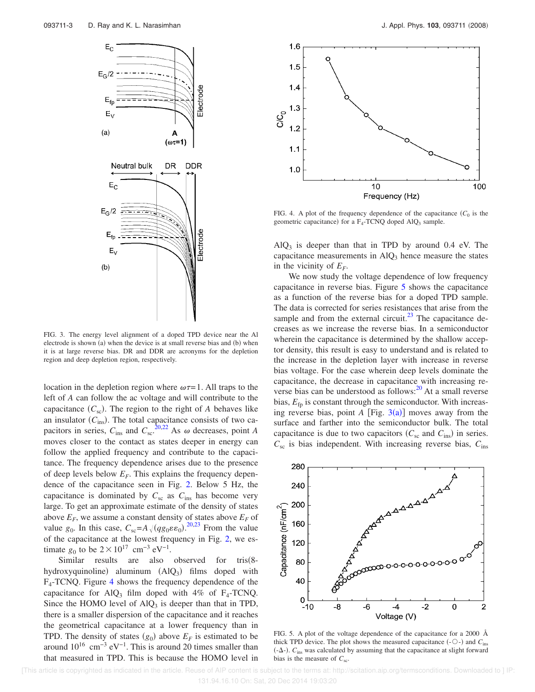

FIG. 3. The energy level alignment of a doped TPD device near the Al electrode is shown (a) when the device is at small reverse bias and (b) when it is at large reverse bias. DR and DDR are acronyms for the depletion region and deep depletion region, respectively.

location in the depletion region where  $\omega \tau = 1$ . All traps to the left of *A* can follow the ac voltage and will contribute to the capacitance  $(C_{\rm sc})$ . The region to the right of *A* behaves like an insulator  $(C_{\text{ins}})$ . The total capacitance consists of two capacitors in series,  $C_{\text{ins}}$  and  $C_{\text{sc}}^{20,22}$  As  $\omega$  decreases, point *A* moves closer to the contact as states deeper in energy can follow the applied frequency and contribute to the capacitance. The frequency dependence arises due to the presence of deep levels below  $E_F$ . This explains the frequency dependence of the capacitance seen in Fig. 2. Below 5 Hz, the capacitance is dominated by  $C_{\rm sc}$  as  $C_{\rm ins}$  has become very large. To get an approximate estimate of the density of states above  $E_F$ , we assume a constant density of states above  $E_F$  of value  $g_0$ . In this case,  $C_{sc} = A \sqrt{(q g_0 \varepsilon \varepsilon_0)}$ . <sup>20,23</sup> From the value of the capacitance at the lowest frequency in Fig. 2, we estimate  $g_0$  to be  $2 \times 10^{17}$  cm<sup>-3</sup> eV<sup>-1</sup>.

Similar results are also observed for tris(8hydroxyquinoline) aluminum  $(AIQ_3)$  films doped with F4 -TCNQ. Figure 4 shows the frequency dependence of the capacitance for AlQ<sub>3</sub> film doped with  $4\%$  of F<sub>4</sub>-TCNQ. Since the HOMO level of  $AlQ_3$  is deeper than that in TPD, there is a smaller dispersion of the capacitance and it reaches the geometrical capacitance at a lower frequency than in TPD. The density of states  $(g_0)$  above  $E_F$  is estimated to be around  $10^{16}$  cm<sup>-3</sup> eV<sup>-1</sup>. This is around 20 times smaller than that measured in TPD. This is because the HOMO level in



FIG. 4. A plot of the frequency dependence of the capacitance  $(C_0$  is the geometric capacitance) for a  $F_4$ -TCNQ doped AlQ<sub>3</sub> sample.

 $AlQ<sub>3</sub>$  is deeper than that in TPD by around 0.4 eV. The capacitance measurements in  $AlQ<sub>3</sub>$  hence measure the states in the vicinity of  $E_F$ .

We now study the voltage dependence of low frequency capacitance in reverse bias. Figure 5 shows the capacitance as a function of the reverse bias for a doped TPD sample. The data is corrected for series resistances that arise from the sample and from the external circuit.<sup>23</sup> The capacitance decreases as we increase the reverse bias. In a semiconductor wherein the capacitance is determined by the shallow acceptor density, this result is easy to understand and is related to the increase in the depletion layer with increase in reverse bias voltage. For the case wherein deep levels dominate the capacitance, the decrease in capacitance with increasing reverse bias can be understood as follows:<sup>20</sup> At a small reverse bias,  $E_{\text{fp}}$  is constant through the semiconductor. With increasing reverse bias, point  $A$  [Fig.  $3(a)$ ] moves away from the surface and farther into the semiconductor bulk. The total capacitance is due to two capacitors  $(C_{\rm sc} \text{ and } C_{\rm ins})$  in series.  $C_{\rm sc}$  is bias independent. With increasing reverse bias,  $C_{\rm ins}$ 



FIG. 5. A plot of the voltage dependence of the capacitance for a 2000 Å thick TPD device. The plot shows the measured capacitance  $(-\bigcirc)$  and  $C_{ins}$  $(-\Delta)$ .  $C_{\text{ins}}$  was calculated by assuming that the capacitance at slight forward bias is the measure of  $C_{\text{sc}}$ .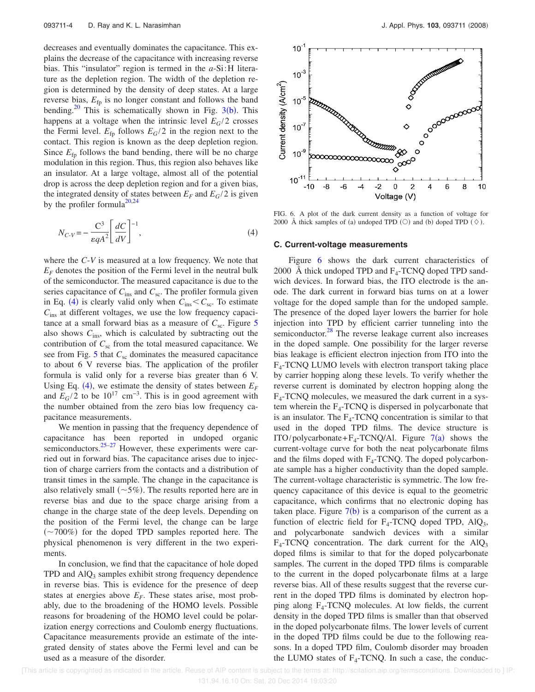decreases and eventually dominates the capacitance. This explains the decrease of the capacitance with increasing reverse bias. This "insulator" region is termed in the *a*-Si:H literature as the depletion region. The width of the depletion region is determined by the density of deep states. At a large reverse bias,  $E_{\text{fp}}$  is no longer constant and follows the band bending.<sup>20</sup> This is schematically shown in Fig.  $3(b)$ . This happens at a voltage when the intrinsic level  $E_G/2$  crosses the Fermi level.  $E_{\text{fp}}$  follows  $E_G/2$  in the region next to the contact. This region is known as the deep depletion region. Since  $E_{\text{fp}}$  follows the band bending, there will be no charge modulation in this region. Thus, this region also behaves like an insulator. At a large voltage, almost all of the potential drop is across the deep depletion region and for a given bias, the integrated density of states between  $E_F$  and  $E_G/2$  is given by the profiler formula<sup>20,24</sup>

$$
N_{C\text{-}V} = -\frac{C^3}{\varepsilon q A^2} \left[ \frac{dC}{dV} \right]^{-1},\tag{4}
$$

where the *C*-*V* is measured at a low frequency. We note that  $E_F$  denotes the position of the Fermi level in the neutral bulk of the semiconductor. The measured capacitance is due to the series capacitance of  $C_{ins}$  and  $C_{sc}$ . The profiler formula given in Eq. (4) is clearly valid only when  $C_{ins} < C_{sc}$ . To estimate *C*ins at different voltages, we use the low frequency capacitance at a small forward bias as a measure of  $C_{\rm sc}$ . Figure 5 also shows  $C_{ins}$ , which is calculated by subtracting out the contribution of  $C_{\rm sc}$  from the total measured capacitance. We see from Fig.  $5$  that  $C_{\rm sc}$  dominates the measured capacitance to about 6 V reverse bias. The application of the profiler formula is valid only for a reverse bias greater than 6 V. Using Eq. (4), we estimate the density of states between  $E_F$ and  $E_G/2$  to be 10<sup>17</sup> cm<sup>-3</sup>. This is in good agreement with the number obtained from the zero bias low frequency capacitance measurements.

We mention in passing that the frequency dependence of capacitance has been reported in undoped organic semiconductors. $25-27$  However, these experiments were carried out in forward bias. The capacitance arises due to injection of charge carriers from the contacts and a distribution of transit times in the sample. The change in the capacitance is also relatively small  $(\sim 5\%)$ . The results reported here are in reverse bias and due to the space charge arising from a change in the charge state of the deep levels. Depending on the position of the Fermi level, the change can be large 700*%*- for the doped TPD samples reported here. The physical phenomenon is very different in the two experiments.

In conclusion, we find that the capacitance of hole doped TPD and AlQ<sub>3</sub> samples exhibit strong frequency dependence in reverse bias. This is evidence for the presence of deep states at energies above  $E_F$ . These states arise, most probably, due to the broadening of the HOMO levels. Possible reasons for broadening of the HOMO level could be polarization energy corrections and Coulomb energy fluctuations. Capacitance measurements provide an estimate of the integrated density of states above the Fermi level and can be used as a measure of the disorder.



FIG. 6. A plot of the dark current density as a function of voltage for 2000 Å thick samples of (a) undoped TPD (O) and (b) doped TPD ( $\diamond$ ).

## **C. Current-voltage measurements**

Figure 6 shows the dark current characteristics of 2000 Å thick undoped TPD and  $F_4$ -TCNQ doped TPD sandwich devices. In forward bias, the ITO electrode is the anode. The dark current in forward bias turns on at a lower voltage for the doped sample than for the undoped sample. The presence of the doped layer lowers the barrier for hole injection into TPD by efficient carrier tunneling into the semiconductor.<sup>28</sup> The reverse leakage current also increases in the doped sample. One possibility for the larger reverse bias leakage is efficient electron injection from ITO into the F4 -TCNQ LUMO levels with electron transport taking place by carrier hopping along these levels. To verify whether the reverse current is dominated by electron hopping along the F4 -TCNQ molecules, we measured the dark current in a system wherein the  $F_4$ -TCNQ is dispersed in polycarbonate that is an insulator. The  $F_4$ -TCNQ concentration is similar to that used in the doped TPD films. The device structure is ITO/polycarbonate+ $F_4$ -TCNQ/Al. Figure  $7(a)$  shows the current-voltage curve for both the neat polycarbonate films and the films doped with  $F_4$ -TCNQ. The doped polycarbonate sample has a higher conductivity than the doped sample. The current-voltage characteristic is symmetric. The low frequency capacitance of this device is equal to the geometric capacitance, which confirms that no electronic doping has taken place. Figure  $7(b)$  is a comparison of the current as a function of electric field for  $F_4$ -TCNQ doped TPD, AlQ<sub>3</sub>, and polycarbonate sandwich devices with a similar  $F_4$ -TCNQ concentration. The dark current for the AlQ<sub>3</sub> doped films is similar to that for the doped polycarbonate samples. The current in the doped TPD films is comparable to the current in the doped polycarbonate films at a large reverse bias. All of these results suggest that the reverse current in the doped TPD films is dominated by electron hopping along F<sup>4</sup> -TCNQ molecules. At low fields, the current density in the doped TPD films is smaller than that observed in the doped polycarbonate films. The lower levels of current in the doped TPD films could be due to the following reasons. In a doped TPD film, Coulomb disorder may broaden the LUMO states of  $F_4$ -TCNQ. In such a case, the conduc-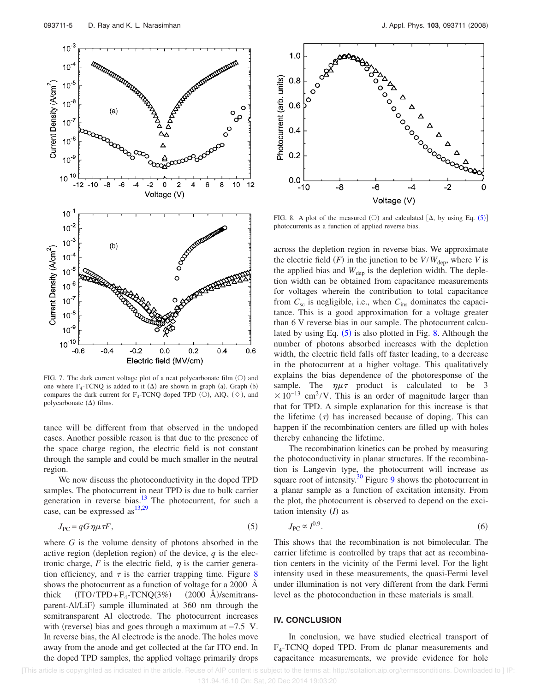

FIG. 7. The dark current voltage plot of a neat polycarbonate film  $(O)$  and one where  $F_4$ -TCNQ is added to it  $(\Delta)$  are shown in graph (a). Graph (b) compares the dark current for F<sub>4</sub>-TCNQ doped TPD  $(O)$ , AlQ<sub>3</sub>  $(\Diamond)$ , and polycarbonate  $(\Delta)$  films.

tance will be different from that observed in the undoped cases. Another possible reason is that due to the presence of the space charge region, the electric field is not constant through the sample and could be much smaller in the neutral region.

We now discuss the photoconductivity in the doped TPD samples. The photocurrent in neat TPD is due to bulk carrier generation in reverse bias. $13$  The photocurrent, for such a case, can be expressed as  $^{13,29}$ 

$$
J_{\rm PC} = qG\,\eta\mu\tau F,\tag{5}
$$

where *G* is the volume density of photons absorbed in the active region (depletion region) of the device,  $q$  is the electronic charge,  $F$  is the electric field,  $\eta$  is the carrier generation efficiency, and  $\tau$  is the carrier trapping time. Figure 8 shows the photocurrent as a function of voltage for a 2000 Å thick  $(ITO/TPD + F_4 - TCNQ(3\%)$  $(2000 \text{ Å})$ /semitransparent-Al/LiF) sample illuminated at 360 nm through the semitransparent Al electrode. The photocurrent increases with (reverse) bias and goes through a maximum at  $-7.5$  V. In reverse bias, the Al electrode is the anode. The holes move away from the anode and get collected at the far ITO end. In the doped TPD samples, the applied voltage primarily drops



FIG. 8. A plot of the measured (O) and calculated  $[\Delta,$  by using Eq. (5) photocurrents as a function of applied reverse bias.

across the depletion region in reverse bias. We approximate the electric field  $(F)$  in the junction to be  $V/W_{\text{dep}}$ , where *V* is the applied bias and  $W_{\text{dep}}$  is the depletion width. The depletion width can be obtained from capacitance measurements for voltages wherein the contribution to total capacitance from *C*sc is negligible, i.e., when *C*ins dominates the capacitance. This is a good approximation for a voltage greater than 6 V reverse bias in our sample. The photocurrent calculated by using Eq.  $(5)$  is also plotted in Fig. 8. Although the number of photons absorbed increases with the depletion width, the electric field falls off faster leading, to a decrease in the photocurrent at a higher voltage. This qualitatively explains the bias dependence of the photoresponse of the sample. The  $\eta\mu\tau$  product is calculated to be 3  $\times 10^{-13}$  cm<sup>2</sup>/V. This is an order of magnitude larger than that for TPD. A simple explanation for this increase is that the lifetime  $(\tau)$  has increased because of doping. This can happen if the recombination centers are filled up with holes thereby enhancing the lifetime.

The recombination kinetics can be probed by measuring the photoconductivity in planar structures. If the recombination is Langevin type, the photocurrent will increase as square root of intensity.<sup>30</sup> Figure 9 shows the photocurrent in a planar sample as a function of excitation intensity. From the plot, the photocurrent is observed to depend on the excitation intensity  $(I)$  as

$$
J_{\rm PC} \propto I^{0.9}.\tag{6}
$$

This shows that the recombination is not bimolecular. The carrier lifetime is controlled by traps that act as recombination centers in the vicinity of the Fermi level. For the light intensity used in these measurements, the quasi-Fermi level under illumination is not very different from the dark Fermi level as the photoconduction in these materials is small.

## **IV. CONCLUSION**

In conclusion, we have studied electrical transport of F4 -TCNQ doped TPD. From dc planar measurements and capacitance measurements, we provide evidence for hole